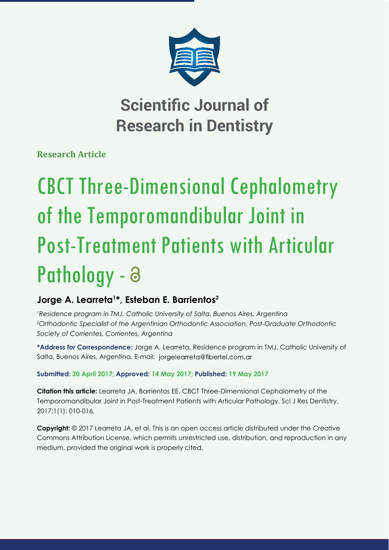

## **Scientific Journal of Research in Dentistry**

**Research Article**

# CBCT Three-Dimensional Cephalometry of the Temporomandibular Joint in Post-Treatment Patients with Articular Pathology - a

## **Jorge A. Learreta1 \*, Esteban E. Barrientos2**

*1 Residence program in TMJ, Catholic University of Salta, Buenos Aires, Argentina 2 Orthodontic Specialist of the Argentinian Orthodontic Association, Post-Graduate Orthodontic Society of Corrientes, Corrientes, Argentina*

**\*Address for Correspondence:** Jorge A. Learreta, Residence program in TMJ, Catholic University of Salta, Buenos Aires, Argentina, E-mail: jorgelearreta@fibertel.com.ar

## **Submitted: 20 April 2017; Approved: 14 May 2017; Published: 19 May 2017**

**Citation this article:** Learreta JA, Barrientos EE. CBCT Three-Dimensional Cephalometry of the Temporomandibular Joint in Post-Treatment Patients with Articular Pathology. Sci J Res Dentistry. 2017;1(1): 010-016.

**Copyright:** © 2017 Learreta JA, et al. This is an open access article distributed under the Creative Commons Attribution License, which permits unrestricted use, distribution, and reproduction in any medium, provided the original work is properly cited.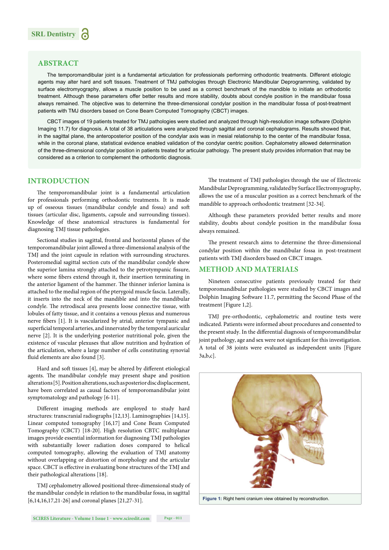

#### **ABSTRACT**

The temporomandibular joint is a fundamental articulation for professionals performing orthodontic treatments. Different etiologic agents may alter hard and soft tissues. Treatment of TMJ pathologies through Electronic Mandibular Deprogramming, validated by surface electromyography, allows a muscle position to be used as a correct benchmark of the mandible to initiate an orthodontic treatment.Although these parameters offer better results and more stability, doubts about condyle position in the mandibular fossa always remained. The objective was to determine the three-dimensional condylar position in the mandibular fossa of post-treatment patients with TMJ disorders based on Cone Beam Computed Tomography (CBCT) images.

CBCT images of 19 patients treated for TMJ pathologies were studied and analyzed through high-resolution image software (Dolphin Imaging 11.7) for diagnosis. A total of 38 articulations were analyzed through sagittal and coronal cephalograms. Results showed that, in the sagittal plane, the anteroposterior position of the condylar axis was in mesial relationship to the center of the mandibular fossa, while in the coronal plane, statistical evidence enabled validation of the condylar centric position. Cephalometry allowed determination of the three-dimensional condylar position in patients treated for articular pathology. The present study provides information that may be considered as a criterion to complement the orthodontic diagnosis.

#### **INTRODUCTION**

The temporomandibular joint is a fundamental articulation for professionals performing orthodontic treatments. It is made up of osseous tissues (mandibular condyle and fossa) and soft tissues (articular disc, ligaments, capsule and surrounding tissues). Knowledge of these anatomical structures is fundamental for diagnosing TMJ tissue pathologies.

Sectional studies in sagittal, frontal and horizontal planes of the temporomandibular joint allowed a three-dimensional analysis of the TMJ and the joint capsule in relation with surrounding structures. Posteromedial sagittal section cuts of the mandibular condyle show the superior lamina strongly attached to the petrotympanic fissure, where some fibers extend through it, their insertion terminating in the anterior ligament of the hammer. The thinner inferior lamina is attached to the medial region of the pterygoid muscle fascia. Laterally, it inserts into the neck of the mandible and into the mandibular condyle. The retrodiscal area presents loose connective tissue, with lobules of fatty tissue, and it contains a venous plexus and numerous nerve fibers [1]. It is vascularized by atrial, anterior tympanic and superficial temporal arteries, and innervated by the temporal auricular nerve [2]. It is the underlying posterior nutritional pole, given the existence of vascular plexuses that allow nutrition and hydration of the articulation, where a large number of cells constituting synovial fluid elements are also found [3].

Hard and soft tissues [4], may be altered by different etiological agents. The mandibular condyle may present shape and position alterations [5]. Position alterations, such as posterior disc displacement, have been correlated as causal factors of temporomandibular joint symptomatology and pathology [6-11].

Different imaging methods are employed to study hard structures: transcranial radiographs [12,13]. Laminographies [14,15]. Linear computed tomography [16,17] and Cone Beam Computed Tomography (CBCT) [18-20]. High resolution CBTC multiplanar images provide essential information for diagnosing TMJ pathologies with substantially lower radiation doses compared to helical computed tomography, allowing the evaluation of TMJ anatomy without overlapping or distortion of morphology and the articular space. CBCT is effective in evaluating bone structures of the TMJ and their pathological alterations [18].

TMJ cephalometry allowed positional three-dimensional study of the mandibular condyle in relation to the mandibular fossa, in sagittal [6,14,16,17,21-26] and coronal planes [21,27-31].

The treatment of TMJ pathologies through the use of Electronic Mandibular Deprogramming, validated by Surface Electromyography, allows the use of a muscular position as a correct benchmark of the mandible to approach orthodontic treatment [32-34].

Although these parameters provided better results and more stability, doubts about condyle position in the mandibular fossa always remained.

The present research aims to determine the three-dimensional condylar position within the mandibular fossa in post-treatment patients with TMJ disorders based on CBCT images.

#### **METHOD AND MATERIALS**

Nineteen consecutive patients previously treated for their temporomandibular pathologies were studied by CBCT images and Dolphin Imaging Software 11.7, permitting the Second Phase of the treatment [Figure 1,2].

TMJ pre-orthodontic, cephalometric and routine tests were indicated. Patients were informed about procedures and consented to the present study. In the differential diagnosis of temporomandibular joint pathology, age and sex were not significant for this investigation. A total of 38 joints were evaluated as independent units [Figure 3a,b,c].

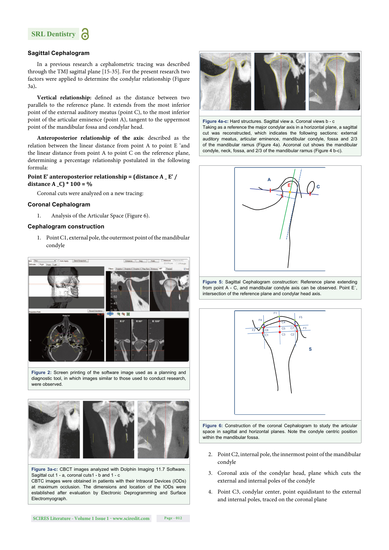

#### **Sagittal Cephalogram**

In a previous research a cephalometric tracing was described through the TMJ sagittal plane [15-35]. For the present research two factors were applied to determine the condylar relationship (Figure 3a)**.** 

Vertical relationship: defined as the distance between two parallels to the reference plane. It extends from the most inferior point of the external auditory meatus (point C), to the most inferior point of the articular eminence (point A), tangent to the uppermost point of the mandibular fossa and condylar head.

**Anteroposterior relationship of the axis**: described as the relation between the linear distance from point A to point E 'and the linear distance from point A to point C on the reference plane, determining a percentage relationship postulated in the following formula:

#### **Point E' anteroposterior relationship = (distance A \_ E' / distance A \_C) \* 100 = %**

Coronal cuts were analyzed on a new tracing:

#### **Coronal Cephalogram**

1. Analysis of the Articular Space (Figure 6).

#### **Cephalogram construction**

1. Point C1, external pole, the outermost point of the mandibular condyle



**Figure 2:** Screen printing of the software image used as a planning and diagnostic tool, in which images similar to those used to conduct research, were observed.



**Figure 3a-c:** CBCT images analyzed with Dolphin Imaging 11.7 Software. Sagittal cut 1 - a, coronal cuts1 - b and 1 - c

CBTC images were obtained in patients with their Intraoral Devices (IODs) at maximum occlusion. The dimensions and location of the IODs were established after evaluation by Electronic Deprogramming and Surface Electromyograph.



**Figure 4a-c:** Hard structures. Sagittal view a. Coronal views b - c Taking as a reference the major condylar axis in a horizontal plane, a sagittal cut was reconstructed, which indicates the following sections: external auditory meatus, articular eminence, mandibular condyle, fossa and 2/3 of the mandibular ramus (Figure 4a). Acoronal cut shows the mandibular condyle, neck, fossa, and 2/3 of the mandibular ramus (Figure 4 b-c).







space in sagittal and horizontal planes. Note the condyle centric position within the mandibular fossa.

- 2. Point C2, internal pole, the innermost point of the mandibular condyle
- 3. Coronal axis of the condylar head, plane which cuts the external and internal poles of the condyle
- 4. Point C3, condylar center, point equidistant to the external and internal poles, traced on the coronal plane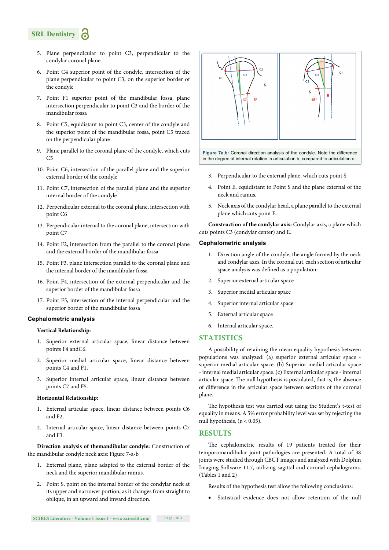## **SRL Dentistry**

- 5. Plane perpendicular to point C3, perpendicular to the condylar coronal plane
- 6. Point C4 superior point of the condyle, intersection of the plane perpendicular to point C3, on the superior border of the condyle
- 7. Point F1 superior point of the mandibular fossa, plane intersection perpendicular to point C3 and the border of the mandibular fossa
- 8. Point C5, equidistant to point C3, center of the condyle and the superior point of the mandibular fossa, point C5 traced on the perpendicular plane
- 9. Plane parallel to the coronal plane of the condyle, which cuts  $C<sub>5</sub>$
- 10. Point C6, intersection of the parallel plane and the superior external border of the condyle
- 11. Point C7, intersection of the parallel plane and the superior internal border of the condyle
- 12. Perpendicular external to the coronal plane, intersection with point C6
- 13. Perpendicular internal to the coronal plane, intersection with point C7
- 14. Point F2, intersection from the parallel to the coronal plane and the external border of the mandibular fossa
- 15. Point F3, plane intersection parallel to the coronal plane and the internal border of the mandibular fossa
- 16. Point F4, intersection of the external perpendicular and the superior border of the mandibular fossa
- 17. Point F5, intersection of the internal perpendicular and the superior border of the mandibular fossa

#### **Cephalometric analysis**

#### **Vertical Relationship:**

- 1. Superior external articular space, linear distance between points F4 andC6.
- 2. Superior medial articular space, linear distance between points C4 and F1.
- 3. Superior internal articular space, linear distance between points C7 and F5.

#### **Horizontal Relationship:**

- 1. External articular space, linear distance between points C6 and F2**.**
- 2. Internal articular space, linear distance between points C7 and F3.

**Direction analysis of themandibular condyle:** Construction of the mandibular condyle neck axis: Figure 7-a-b

- 1. External plane, plane adapted to the external border of the neck and the superior mandibular ramus.
- 2. Point S, point on the internal border of the condylar neck at its upper and narrower portion, as it changes from straight to oblique, in an upward and inward direction.



**Figure 7a,b:** Coronal direction analysis of the condyle. Note the difference in the degree of internal rotation in articulation b, compared to articulation c.

- 3. Perpendicular to the external plane, which cuts point S.
- 4. Point E, equidistant to Point S and the plane external of the neck and ramus.
- 5. Neck axis of the condylar head, a plane parallel to the external plane which cuts point E.

**Construction of the condylar axis:** Condylar axis, a plane which cuts points C3 (condylar center) and E.

#### **Cephalometric analysis**

- 1. Direction angle of the condyle, the angle formed by the neck and condylar axes. In the coronal cut, each section of articular space analysis was defined as a population:
- 2. Superior external articular space
- 3. Superior medial articular space
- 4. Superior internal articular space
- 5. External articular space
- 6. Internal articular space.

#### **STATISTICS**

A possibility of retaining the mean equality hypothesis between populations was analyzed: (a) superior external articular space superior medial articular space. (b) Superior medial articular space - internal medial articular space. (c) External articular space - internal articular space. The null hypothesis is postulated, that is, the absence of difference in the articular space between sections of the coronal plane.

The hypothesis test was carried out using the Student's t-test of equality in means. A 5% error probability level was set by rejecting the null hypothesis,  $(p < 0.05)$ .

#### **RESULTS**

The cephalometric results of 19 patients treated for their temporomandibular joint pathologies are presented. A total of 38 joints were studied through CBCT images and analyzed with Dolphin Imaging Software 11.7, utilizing sagittal and coronal cephalograms. (Tables 1 and 2)

Results of the hypothesis test allow the following conclusions:

Statistical evidence does not allow retention of the null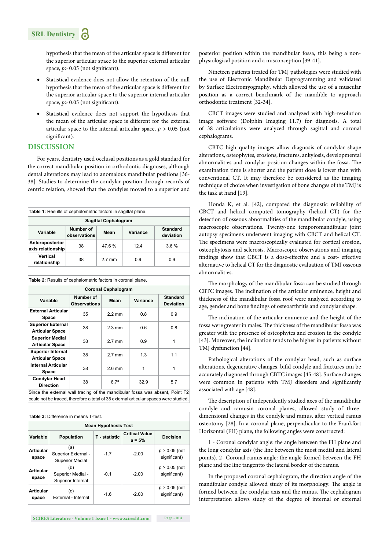

hypothesis that the mean of the articular space is different for the superior articular space to the superior external articular space,  $p$  > 0.05 (not significant).

- Statistical evidence does not allow the retention of the null hypothesis that the mean of the articular space is different for the superior articular space to the superior internal articular space,  $p$  > 0.05 (not significant).
- Statistical evidence does not support the hypothesis that the mean of the articular space is different for the external articular space to the internal articular space,  $p > 0.05$  (not significant).

#### **DISCUSSION**

For years, dentistry used occlusal positions as a gold standard for the correct mandibular position in orthodontic diagnoses, although dental alterations may lead to anomalous mandibular positions [36- 38]. Studies to determine the condylar position through records of centric relation, showed that the condyles moved to a superior and

| Table 1: Results of cephalometric factors in sagittal plane. |                           |                  |          |                              |  |  |  |
|--------------------------------------------------------------|---------------------------|------------------|----------|------------------------------|--|--|--|
| <b>Sagittal Cephalogram</b>                                  |                           |                  |          |                              |  |  |  |
| Variable                                                     | Number of<br>observations | Mean             | Variance | <b>Standard</b><br>deviation |  |  |  |
| Anteroposterior<br>axis relationship                         | 38                        | 47.6%            | 124      | 3.6%                         |  |  |  |
| Vertical<br>relationship                                     | 38                        | $2.7 \text{ mm}$ | 0.9      | 0.9                          |  |  |  |

| Table 2: Results of cephalometric factors in coronal plane. |                                  |                  |          |                                     |  |  |  |  |
|-------------------------------------------------------------|----------------------------------|------------------|----------|-------------------------------------|--|--|--|--|
| <b>Coronal Cephalogram</b>                                  |                                  |                  |          |                                     |  |  |  |  |
| Variable                                                    | Number of<br><b>Observations</b> | Mean             | Variance | <b>Standard</b><br><b>Deviation</b> |  |  |  |  |
| <b>External Articular</b><br>Space                          | 35                               | $22 \text{ mm}$  | 0.8      | 0.9                                 |  |  |  |  |
| <b>Superior External</b><br><b>Articular Space</b>          | 38                               | $2.3 \text{ mm}$ | 0.6      | 0.8                                 |  |  |  |  |
| <b>Superior Medial</b><br><b>Articular Space</b>            | 38                               | $2.7 \text{ mm}$ | 0.9      | 1                                   |  |  |  |  |
| <b>Superior Internal</b><br><b>Articular Space</b>          | 38                               | $2.7 \text{ mm}$ | 1.3      | 1.1                                 |  |  |  |  |
| <b>Internal Articular</b><br>Space                          | 38                               | $2.6$ mm         | 1        | 1                                   |  |  |  |  |
| <b>Condylar Head</b><br><b>Direction</b>                    | 38                               | $8.7^\circ$      | 32.9     | 5.7                                 |  |  |  |  |

Since the external wall tracing of the mandibular fossa was absent, Point F2 could not be traced, therefore a total of 35 external articular spaces were studied.

| Table 3: Difference in means T-test. |                                                      |                      |                                   |                                 |  |  |  |
|--------------------------------------|------------------------------------------------------|----------------------|-----------------------------------|---------------------------------|--|--|--|
| <b>Mean Hypothesis Test</b>          |                                                      |                      |                                   |                                 |  |  |  |
| Variable                             | <b>Population</b>                                    | <b>T</b> - statistic | <b>Critical Value</b><br>$a = 5%$ | <b>Decision</b>                 |  |  |  |
| <b>Articular</b><br>space            | (a)<br>Superior External -<br><b>Superior Medial</b> | $-1.7$               | $-2.00$                           | $p > 0.05$ (not<br>significant) |  |  |  |
| <b>Articular</b><br>space            | (b)<br>Superior Medial -<br>Superior Internal        | $-0.1$               | $-2.00$                           | $p > 0.05$ (not<br>significant) |  |  |  |
| <b>Articular</b><br>space            | (c)<br>External - Internal                           | $-1.6$               | $-2.00$                           | $p > 0.05$ (not<br>significant) |  |  |  |

posterior position within the mandibular fossa, this being a nonphysiological position and a misconception [39-41].

Nineteen patients treated for TMJ pathologies were studied with the use of Electronic Mandibular Deprogramming and validated by Surface Electromyography, which allowed the use of a muscular position as a correct benchmark of the mandible to approach orthodontic treatment [32-34].

CBCT images were studied and analyzed with high-resolution image software (Dolphin Imaging 11.7) for diagnosis. A total of 38 articulations were analyzed through sagittal and coronal cephalograms.

CBTC high quality images allow diagnosis of condylar shape alterations, osteophytes, erosions, fractures, ankylosis, developmental abnormalities and condylar position changes within the fossa. The examination time is shorter and the patient dose is lower than with conventional CT. It may therefore be considered as the imaging technique of choice when investigation of bone changes of the TMJ is the task at hand [19].

Honda K, et al. [42], compared the diagnostic reliability of CBCT and helical computed tomography (helical CT) for the detection of osseous abnormalities of the mandibular condyle, using macroscopic observations. Twenty-one temporomandibular joint autopsy specimens underwent imaging with CBCT and helical CT. The specimens were macroscopically evaluated for cortical erosion, osteophytosis and sclerosis. Macroscopic observations and imaging findings show that CBCT is a dose-effective and a cost- effective alternative to helical CT for the diagnostic evaluation of TMJ osseous abnormalities.

The morphology of the mandibular fossa can be studied through CBTC images. The inclination of the articular eminence, height and thickness of the mandibular fossa roof were analyzed according to age, gender and bone findings of osteoarthritis and condylar shape.

The inclination of the articular eminence and the height of the fossa were greater in males. The thickness of the mandibular fossa was greater with the presence of osteophytes and erosion in the condyle [43]. Moreover, the inclination tends to be higher in patients without TMJ dysfunction [44].

Pathological alterations of the condylar head, such as surface alterations, degenerative changes, bifid condyle and fractures can be accurately diagnosed through CBTC images [45-48]. Surface changes were common in patients with TMJ disorders and significantly associated with age [48].

The description of independently studied axes of the mandibular condyle and ramusin coronal planes, allowed study of threedimensional changes in the condyle and ramus, after vertical ramus osteotomy [28]. In a coronal plane, perpendicular to the Frankfort Horizontal (FH) plane, the following angles were constructed:

1 - Coronal condylar angle: the angle between the FH plane and the long condylar axis (the line between the most medial and lateral points). 2- Coronal ramus angle: the angle formed between the FH plane and the line tangentto the lateral border of the ramus.

In the proposed coronal cephalogram, the direction angle of the mandibular condyle allowed study of its morphology. The angle is formed between the condylar axis and the ramus. The cephalogram interpretation allows study of the degree of internal or external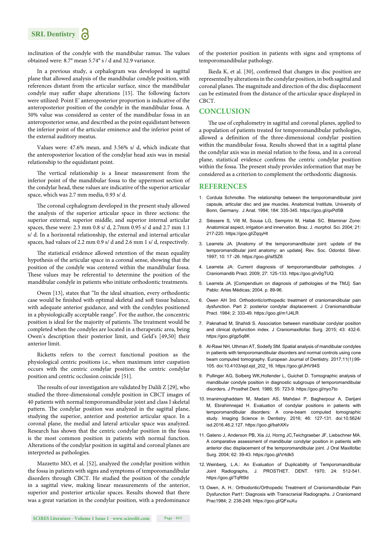

inclination of the condyle with the mandibular ramus. The values obtained were: 8.7° mean 5.74° s / d and 32.9 variance.

In a previous study, a cephalogram was developed in sagittal plane that allowed analysis of the mandibular condyle position, with references distant from the articular surface, since the mandibular condyle may suffer shape alterations [15]. The following factors were utilized: Point E' anteroposterior proportion is indicative of the anteroposterior position of the condyle in the mandibular fossa. A 50% value was considered as center of the mandibular fossa in an anteroposterior sense, and described as the point equidistant between the inferior point of the articular eminence and the inferior point of the external auditory meatus.

Values were: 47.6% mean, and 3.56% s/ d, which indicate that the anteroposterior location of the condylar head axis was in mesial relationship to the equidistant point.

The vertical relationship is a linear measurement from the inferior point of the mandibular fossa to the uppermost section of the condylar head, these values are indicative of the superior articular space, which was 2.7 mm media, 0.93 s/ d.

The coronal cephalogram developed in the present study allowed the analysis of the superior articular space in three sections: the superior external, superior middle, and superior internal articular spaces, these were: 2.3 mm 0.8 s/ d, 2.7mm 0.95 s/ d and 2.7 mm 1.1 s/ d. In a horizontal relationship, the external and internal articular spaces, had values of 2.2 mm 0.9 s/ d and 2.6 mm 1 s/ d, respectively.

The statistical evidence allowed retention of the mean equality hypothesis of the articular space in a coronal sense, showing that the position of the condyle was centered within the mandibular fossa. These values may be referential to determine the position of the mandibular condyle in patients who initiate orthodontic treatments.

Owen [13], states that "In the ideal situation, every orthodontic case would be finished with optimal skeletal and soft tissue balance, with adequate anterior guidance, and with the condyles positioned in a physiologically acceptable range". For the author, the concentric position is ideal for the majority of patients. The treatment would be completed when the condyles are located in a therapeutic area, being Owen's description their posterior limit, and Geld's [49,50] their anterior limit.

Ricketts refers to the correct functional position as the physiological centric positions i.e., when maximum inter cuspation occurs with the centric condylar position: the centric condylar position and centric occlusion coincide [51].

The results of our investigation are validated by Dalili Z  $[29]$ , who studied the three-dimensional condyle position in CBCT images of 40 patients with normal temporomandibular joint and class I skeletal pattern. The condylar position was analyzed in the sagittal plane, studying the superior, anterior and posterior articular space. In a coronal plane, the medial and lateral articular space was analyzed. Research has shown that the centric condylar position in the fossa is the most common position in patients with normal function. Alterations of the condylar position in sagittal and coronal planes are interpreted as pathologies.

Mazzetto MO, et al. [52], analyzed the condylar position within the fossa in patients with signs and symptoms of temporomandibular disorders through CBCT. He studied the position of the condyle in a sagittal view, making linear measurements of the anterior, superior and posterior articular spaces. Results showed that there was a great variation in the condylar position, with a predominance

Ikeda K, et al.  $[30]$ , confirmed that changes in disc position are represented by alterations in the condylar position, in both sagittal and coronal planes. The magnitude and direction of the disc displacement can be estimated from the distance of the articular space displayed in CBCT.

#### **CONCLUSION**

The use of cephalometry in sagittal and coronal planes, applied to a population of patients treated for temporomandibular pathologies, allowed a definition of the three-dimensional condylar position within the mandibular fossa. Results showed that in a sagittal plane the condylar axis was in mesial relation to the fossa, and in a coronal plane, statistical evidence confirms the centric condylar position within the fossa. The present study provides information that may be considered as a criterion to complement the orthodontic diagnosis.

#### **REFERENCES**

- 1. Cordula Schmolke. The relationship between the temporomandibular joint capsule, articular disc and jaw muscles. Anatomical Institute, University of Bonn, Germany. J Anat. 1994; 184: 335-345. https://goo.gl/qxPd5B
- 2. Siéssere S, Vitt M, Sousa LG, Semprini M, Hallak SC. Bilaminar Zone: Anatomical aspect, irrigation and innervation. Braz. J. morphol. Sci. 2004; 21: 217-220. https://goo.gl/ZqqyHt
- 3. Learreta JA. [Anatomy of the temporomandibular joint: update of the temporomandibular joint anatomy: an update]. Rev. Soc. Odontol. Silver. 1997; 10: 17 -26. https://goo.gl/isfSZ6
- 4. Learreta JA: Current diagnosis of temporomandibular pathologies. J Craniomandib Pract. 2009; 27: 125-133. https://goo.gl/v0gTUQ
- 5. Learreta JA. [Compendium on diagnosis of pathologies of the TMJ]. San Pablo: Artes Médicas; 2004. p. 89-96.
- 6. Owen AH 3rd. Orthodontic/orthopedic treatment of craniomandibular pain dysfunction. Part 2: posterior condylar displacement. J Craniomandibular Pract. 1984; 2: 333-49. https://goo.gl/m1J4LR
- 7. Paknahad M, Shahidi S. Association between mandibular condylar position and clinical dysfunction index. J Craniomaxillofac Surg. 2015; 43: 432-6. https://goo.gl/gp5q8K
- 8. Al-Rawi NH, Uthman AT, Sodeify SM. Spatial analysis of mandibular condyles in patients with temporomandibular disorders and normal controls using cone beam computed tomography. European Journal of Dentistry. 2017;11(1):99- 105. doi:10.4103/ejd.ejd\_202\_16. https://goo.gl/JHV94S
- 9. Pullinger AG, Solberg WK,Hollender L, Guichet D. Tomographic analysis of mandibular condyle position in diagnostic subgroups of temporomandibular disorders. J Prosthet Dent. 1986; 55: 723-9. https://goo.gl/nyo7to
- 10. Imanimoghaddam M, Madani AS, Mahdavi P, Bagherpour A, Darijani M, Ebrahimnejad H. Evaluation of condylar positions in patients with temporomandibular disorders: A cone-beam computed tomographic study. Imaging Science in Dentistry. 2016; 46: 127-131. doi:10.5624/ isd.2016.46.2.127. https://goo.gl/bahXKv
- 11. Gateno J, Anderson PB, Xia JJ, Horng JC,Teichgraeber JF, Liebschner MA. A comparative assessment of mandibular condylar position in patients with anterior disc displacement of the temporomandibular joint. J Oral Maxillofac Surg. 2004; 62: 39-43. https://goo.gl/Vrtdk5
- 12. Weinberg, L.A.: An Evaluation of Duplicability of Temporomandibular Joint Radiographs, J. PROSTHET. DENT. 1970; 24: 512-541. https://goo.gl/TqRl9d
- 13. Owen, A. H.: Orthodontic/Orthopedic Treatment of Craniomandibular Pain Dysfunction Part1: Diagnosis with Transcranial Radiographs. J Craniomand Prac1984; 2: 238-249. https://goo.gl/QFxuXu